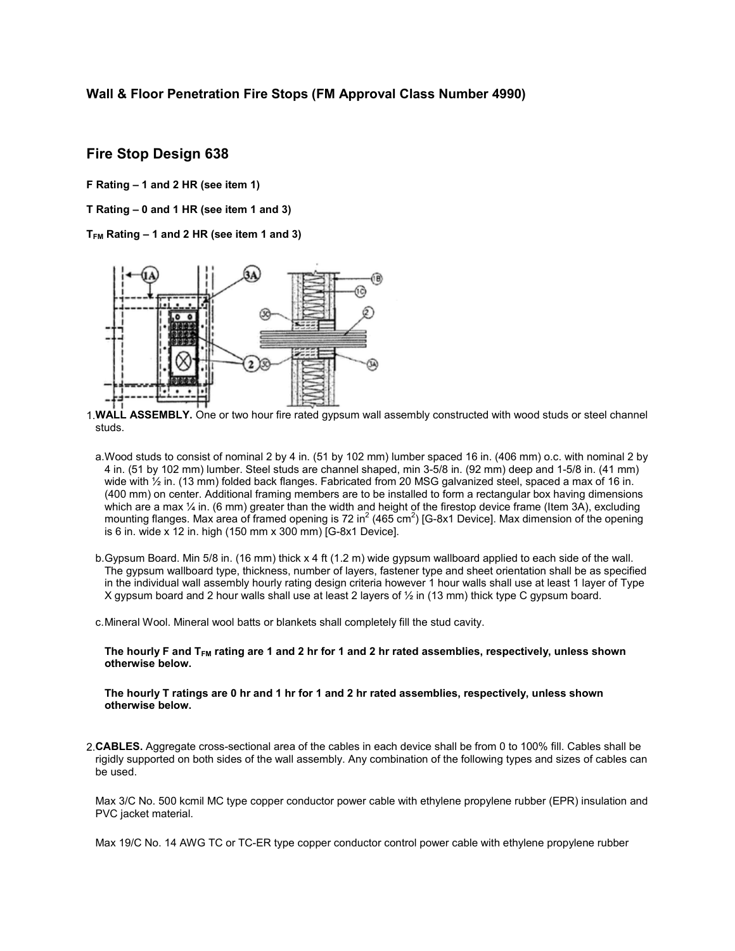### Wall & Floor Penetration Fire Stops (FM Approval Class Number 4990)

## Fire Stop Design 638

F Rating – 1 and 2 HR (see item 1)

T Rating – 0 and 1 HR (see item 1 and 3)

 $T_{FM}$  Rating  $-1$  and 2 HR (see item 1 and 3)



1.WALL ASSEMBLY. One or two hour fire rated gypsum wall assembly constructed with wood studs or steel channel studs.

- a.Wood studs to consist of nominal 2 by 4 in. (51 by 102 mm) lumber spaced 16 in. (406 mm) o.c. with nominal 2 by 4 in. (51 by 102 mm) lumber. Steel studs are channel shaped, min 3-5/8 in. (92 mm) deep and 1-5/8 in. (41 mm) wide with  $\frac{1}{2}$  in. (13 mm) folded back flanges. Fabricated from 20 MSG galvanized steel, spaced a max of 16 in. (400 mm) on center. Additional framing members are to be installed to form a rectangular box having dimensions which are a max  $\frac{1}{4}$  in. (6 mm) greater than the width and height of the firestop device frame (Item 3A), excluding mounting flanges. Max area of framed opening is 72 in<sup>2</sup> (465 cm<sup>2</sup>) [G-8x1 Device]. Max dimension of the opening is 6 in. wide x 12 in. high (150 mm x 300 mm) [G-8x1 Device].
- b.Gypsum Board. Min 5/8 in. (16 mm) thick x 4 ft (1.2 m) wide gypsum wallboard applied to each side of the wall. The gypsum wallboard type, thickness, number of layers, fastener type and sheet orientation shall be as specified in the individual wall assembly hourly rating design criteria however 1 hour walls shall use at least 1 layer of Type X gypsum board and 2 hour walls shall use at least 2 layers of ½ in (13 mm) thick type C gypsum board.
- c.Mineral Wool. Mineral wool batts or blankets shall completely fill the stud cavity.

The hourly F and  $T_{FM}$  rating are 1 and 2 hr for 1 and 2 hr rated assemblies, respectively, unless shown otherwise below.

The hourly T ratings are 0 hr and 1 hr for 1 and 2 hr rated assemblies, respectively, unless shown otherwise below.

2.CABLES. Aggregate cross-sectional area of the cables in each device shall be from 0 to 100% fill. Cables shall be rigidly supported on both sides of the wall assembly. Any combination of the following types and sizes of cables can be used.

Max 3/C No. 500 kcmil MC type copper conductor power cable with ethylene propylene rubber (EPR) insulation and PVC jacket material.

Max 19/C No. 14 AWG TC or TC-ER type copper conductor control power cable with ethylene propylene rubber